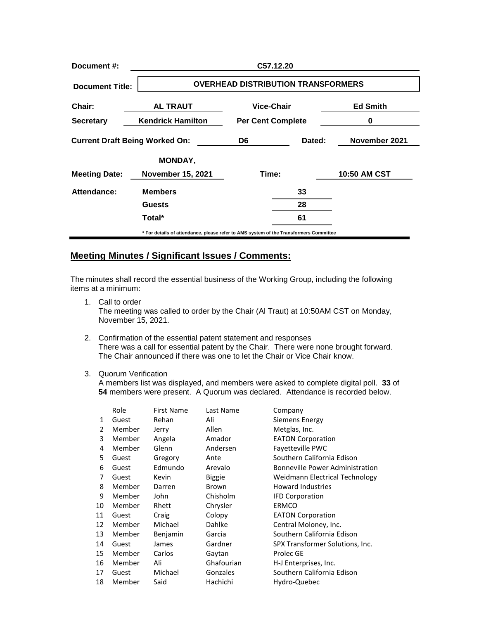| Document #:                           | C57.12.20                                                                             |                          |    |                 |  |  |
|---------------------------------------|---------------------------------------------------------------------------------------|--------------------------|----|-----------------|--|--|
| <b>Document Title:</b>                | <b>OVERHEAD DISTRIBUTION TRANSFORMERS</b>                                             |                          |    |                 |  |  |
| Chair:                                | <b>AL TRAUT</b>                                                                       | Vice-Chair               |    | <b>Ed Smith</b> |  |  |
| <b>Secretary</b>                      | <b>Kendrick Hamilton</b>                                                              | <b>Per Cent Complete</b> |    | 0               |  |  |
| <b>Current Draft Being Worked On:</b> |                                                                                       | Dated:<br>D6             |    | November 2021   |  |  |
|                                       | <b>MONDAY,</b>                                                                        |                          |    |                 |  |  |
| <b>Meeting Date:</b>                  | <b>November 15, 2021</b>                                                              | Time:                    |    | 10:50 AM CST    |  |  |
| Attendance:                           | <b>Members</b>                                                                        |                          | 33 |                 |  |  |
|                                       | <b>Guests</b>                                                                         |                          | 28 |                 |  |  |
|                                       | Total*                                                                                |                          | 61 |                 |  |  |
|                                       | * For details of attendance, please refer to AMS system of the Transformers Committee |                          |    |                 |  |  |

## **Meeting Minutes / Significant Issues / Comments:**

The minutes shall record the essential business of the Working Group, including the following items at a minimum:

1. Call to order

The meeting was called to order by the Chair (Al Traut) at 10:50AM CST on Monday, November 15, 2021.

- 2. Confirmation of the essential patent statement and responses There was a call for essential patent by the Chair. There were none brought forward. The Chair announced if there was one to let the Chair or Vice Chair know.
- 3. Quorum Verification

A members list was displayed, and members were asked to complete digital poll. **33** of **54** members were present. A Quorum was declared. Attendance is recorded below.

|    | Role   | <b>First Name</b> | Last Name     | Company                                |
|----|--------|-------------------|---------------|----------------------------------------|
| 1  | Guest  | Rehan             | Ali           | Siemens Energy                         |
| 2  | Member | Jerry             | Allen         | Metglas, Inc.                          |
| 3  | Member | Angela            | Amador        | <b>EATON Corporation</b>               |
| 4  | Member | Glenn             | Andersen      | <b>Favetteville PWC</b>                |
| 5  | Guest  | Gregory           | Ante          | Southern California Edison             |
| 6  | Guest  | Edmundo           | Arevalo       | <b>Bonneville Power Administration</b> |
| 7  | Guest  | Kevin             | <b>Biggie</b> | Weidmann Electrical Technology         |
| 8  | Member | Darren            | Brown         | <b>Howard Industries</b>               |
| 9  | Member | John              | Chisholm      | <b>IFD Corporation</b>                 |
| 10 | Member | Rhett             | Chrysler      | ERMCO                                  |
| 11 | Guest  | Craig             | Colopy        | <b>EATON Corporation</b>               |
| 12 | Member | Michael           | Dahlke        | Central Moloney, Inc.                  |
| 13 | Member | Benjamin          | Garcia        | Southern California Edison             |
| 14 | Guest  | James             | Gardner       | SPX Transformer Solutions, Inc.        |
| 15 | Member | Carlos            | Gaytan        | Prolec GE                              |
| 16 | Member | Ali               | Ghafourian    | H-J Enterprises, Inc.                  |
| 17 | Guest  | Michael           | Gonzales      | Southern California Edison             |
| 18 | Member | Said              | Hachichi      | Hydro-Quebec                           |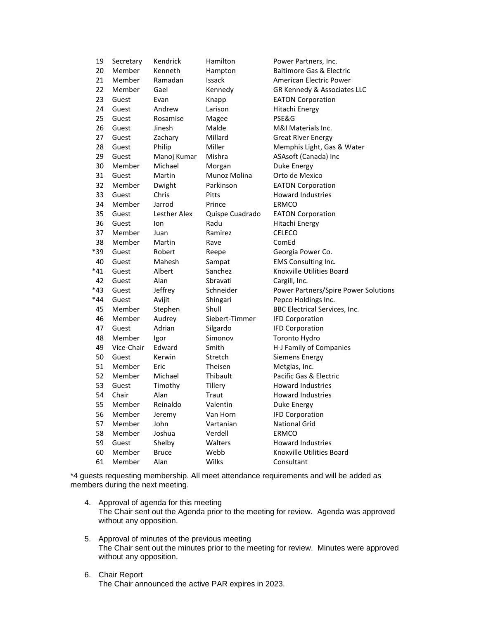| 19    | Secretary  | Kendrick     | Hamilton        | Power Partners, Inc.                 |
|-------|------------|--------------|-----------------|--------------------------------------|
| 20    | Member     | Kenneth      | Hampton         | <b>Baltimore Gas &amp; Electric</b>  |
| 21    | Member     | Ramadan      | <b>Issack</b>   | <b>American Electric Power</b>       |
| 22    | Member     | Gael         | Kennedy         | GR Kennedy & Associates LLC          |
| 23    | Guest      | Evan         | Knapp           | <b>EATON Corporation</b>             |
| 24    | Guest      | Andrew       | Larison         | Hitachi Energy                       |
| 25    | Guest      | Rosamise     | Magee           | PSE&G                                |
| 26    | Guest      | Jinesh       | Malde           | M&I Materials Inc.                   |
| 27    | Guest      | Zachary      | Millard         | <b>Great River Energy</b>            |
| 28    | Guest      | Philip       | Miller          | Memphis Light, Gas & Water           |
| 29    | Guest      | Manoj Kumar  | Mishra          | ASAsoft (Canada) Inc                 |
| 30    | Member     | Michael      | Morgan          | Duke Energy                          |
| 31    | Guest      | Martin       | Munoz Molina    | Orto de Mexico                       |
| 32    | Member     | Dwight       | Parkinson       | <b>EATON Corporation</b>             |
| 33    | Guest      | Chris        | Pitts           | <b>Howard Industries</b>             |
| 34    | Member     | Jarrod       | Prince          | <b>ERMCO</b>                         |
| 35    | Guest      | Lesther Alex | Quispe Cuadrado | <b>EATON Corporation</b>             |
| 36    | Guest      | lon          | Radu            | Hitachi Energy                       |
| 37    | Member     | Juan         | Ramirez         | <b>CELECO</b>                        |
| 38    | Member     | Martin       | Rave            | ComEd                                |
| *39   | Guest      | Robert       | Reepe           | Georgia Power Co.                    |
| 40    | Guest      | Mahesh       | Sampat          | <b>EMS Consulting Inc.</b>           |
| *41   | Guest      | Albert       | Sanchez         | Knoxville Utilities Board            |
| 42    | Guest      | Alan         | Sbravati        | Cargill, Inc.                        |
| $*43$ | Guest      | Jeffrey      | Schneider       | Power Partners/Spire Power Solutions |
| $*44$ | Guest      | Avijit       | Shingari        | Pepco Holdings Inc.                  |
| 45    | Member     | Stephen      | Shull           | <b>BBC Electrical Services, Inc.</b> |
| 46    | Member     | Audrey       | Siebert-Timmer  | <b>IFD Corporation</b>               |
| 47    | Guest      | Adrian       | Silgardo        | <b>IFD Corporation</b>               |
| 48    | Member     | Igor         | Simonov         | Toronto Hydro                        |
| 49    | Vice-Chair | Edward       | Smith           | H-J Family of Companies              |
| 50    | Guest      | Kerwin       | Stretch         | <b>Siemens Energy</b>                |
| 51    | Member     | Eric         | Theisen         | Metglas, Inc.                        |
| 52    | Member     | Michael      | Thibault        | Pacific Gas & Electric               |
| 53    | Guest      | Timothy      | Tillery         | <b>Howard Industries</b>             |
| 54    | Chair      | Alan         | Traut           | <b>Howard Industries</b>             |
| 55    | Member     | Reinaldo     | Valentin        | Duke Energy                          |
| 56    | Member     | Jeremy       | Van Horn        | <b>IFD Corporation</b>               |
| 57    | Member     | John         | Vartanian       | National Grid                        |
| 58    | Member     | Joshua       | Verdell         | ERMCO                                |
| 59    | Guest      | Shelby       | Walters         | Howard Industries                    |
| 60    | Member     | <b>Bruce</b> | Webb            | Knoxville Utilities Board            |
| 61    | Member     | Alan         | Wilks           | Consultant                           |

\*4 guests requesting membership. All meet attendance requirements and will be added as members during the next meeting.

- 4. Approval of agenda for this meeting The Chair sent out the Agenda prior to the meeting for review. Agenda was approved without any opposition.
- 5. Approval of minutes of the previous meeting The Chair sent out the minutes prior to the meeting for review. Minutes were approved without any opposition.
- 6. Chair Report The Chair announced the active PAR expires in 2023.